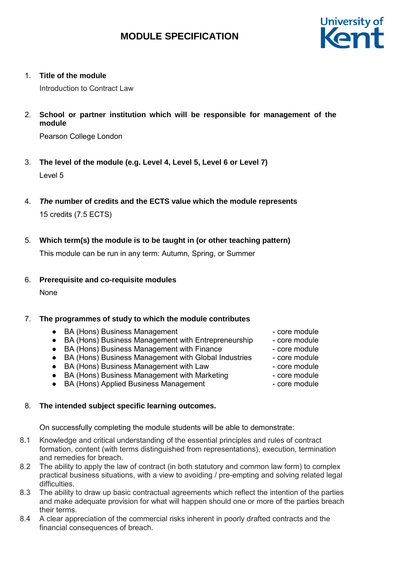

1. **Title of the module**

Introduction to Contract Law

2. **School or partner institution which will be responsible for management of the module**

Pearson College London

- 3. **The level of the module (e.g. Level 4, Level 5, Level 6 or Level 7)** Level 5
- 4. *The* **number of credits and the ECTS value which the module represents** 15 credits (7.5 ECTS)
- 5. **Which term(s) the module is to be taught in (or other teaching pattern)**

This module can be run in any term: Autumn, Spring, or Summer

6. **Prerequisite and co-requisite modules**

None

## 7. **The programmes of study to which the module contributes**

- BA (Hons) Business Management core module
- BA (Hons) Business Management with Entrepreneurship core module
- BA (Hons) Business Management with Finance core module
- BA (Hons) Business Management with Global Industries core module
- BA (Hons) Business Management with Law Franchise Core module
- BA (Hons) Business Management with Marketing core module
- BA (Hons) Applied Business Management core module

## 8. **The intended subject specific learning outcomes.**

On successfully completing the module students will be able to demonstrate:

- 8.1 Knowledge and critical understanding of the essential principles and rules of contract formation, content (with terms distinguished from representations), execution, termination and remedies for breach.
- 8.2 The ability to apply the law of contract (in both statutory and common law form) to complex practical business situations, with a view to avoiding / pre-empting and solving related legal difficulties.
- 8.3 The ability to draw up basic contractual agreements which reflect the intention of the parties and make adequate provision for what will happen should one or more of the parties breach their terms.
- 8.4 A clear appreciation of the commercial risks inherent in poorly drafted contracts and the financial consequences of breach.
- 
- 
- 
- 
- 
- 
-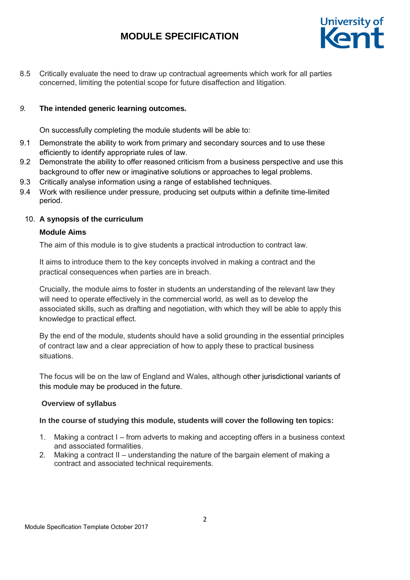

8.5 Critically evaluate the need to draw up contractual agreements which work for all parties concerned, limiting the potential scope for future disaffection and litigation.

## *9.* **The intended generic learning outcomes.**

On successfully completing the module students will be able to:

- 9.1 Demonstrate the ability to work from primary and secondary sources and to use these efficiently to identify appropriate rules of law.
- 9.2 Demonstrate the ability to offer reasoned criticism from a business perspective and use this background to offer new or imaginative solutions or approaches to legal problems.
- 9.3 Critically analyse information using a range of established techniques.
- 9.4 Work with resilience under pressure, producing set outputs within a definite time-limited period.

## 10. **A synopsis of the curriculum**

## **Module Aims**

The aim of this module is to give students a practical introduction to contract law.

It aims to introduce them to the key concepts involved in making a contract and the practical consequences when parties are in breach.

Crucially, the module aims to foster in students an understanding of the relevant law they will need to operate effectively in the commercial world, as well as to develop the associated skills, such as drafting and negotiation, with which they will be able to apply this knowledge to practical effect.

By the end of the module, students should have a solid grounding in the essential principles of contract law and a clear appreciation of how to apply these to practical business situations.

The focus will be on the law of England and Wales, although other jurisdictional variants of this module may be produced in the future.

## **Overview of syllabus**

## **In the course of studying this module, students will cover the following ten topics:**

- 1. Making a contract I from adverts to making and accepting offers in a business context and associated formalities.
- 2. Making a contract II understanding the nature of the bargain element of making a contract and associated technical requirements.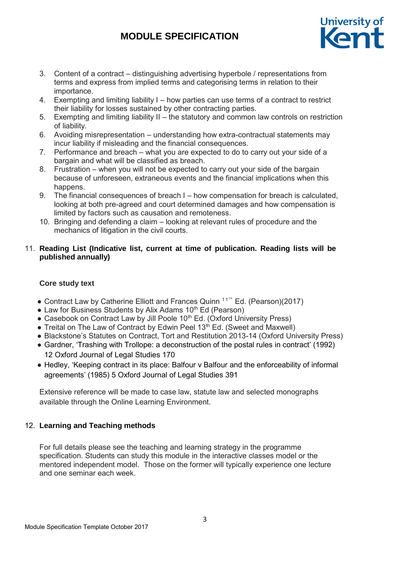

- 3. Content of a contract distinguishing advertising hyperbole / representations from terms and express from implied terms and categorising terms in relation to their importance.
- 4. Exempting and limiting liability I how parties can use terms of a contract to restrict their liability for losses sustained by other contracting parties.
- 5. Exempting and limiting liability II the statutory and common law controls on restriction of liability.
- 6. Avoiding misrepresentation understanding how extra-contractual statements may incur liability if misleading and the financial consequences.
- 7. Performance and breach what you are expected to do to carry out your side of a bargain and what will be classified as breach.
- 8. Frustration when you will not be expected to carry out your side of the bargain because of unforeseen, extraneous events and the financial implications when this happens.
- 9. The financial consequences of breach I how compensation for breach is calculated, looking at both pre-agreed and court determined damages and how compensation is limited by factors such as causation and remoteness.
- 10. Bringing and defending a claim looking at relevant rules of procedure and the mechanics of litigation in the civil courts.

## 11. **Reading List (Indicative list, current at time of publication. Reading lists will be published annually)**

## **Core study text**

- Contract Law by Catherine Elliott and Frances Quinn  $11^{th}$  Ed. (Pearson)(2017)
- Law for Business Students by Alix Adams 10<sup>th</sup> Ed (Pearson)
- Casebook on Contract Law by Jill Poole 10<sup>th</sup> Ed. (Oxford University Press)
- Treital on The Law of Contract by Edwin Peel 13<sup>th</sup> Ed. (Sweet and Maxwell)
- Blackstone's Statutes on Contract, Tort and Restitution 2013-14 (Oxford University Press)
- Gardner, 'Trashing with Trollope: a deconstruction of the postal rules in contract' (1992) 12 Oxford Journal of Legal Studies 170
- Hedley, 'Keeping contract in its place: Balfour v Balfour and the enforceability of informal agreements' (1985) 5 Oxford Journal of Legal Studies 391

Extensive reference will be made to case law, statute law and selected monographs available through the Online Learning Environment.

## 12. **Learning and Teaching methods**

For full details please see the teaching and learning strategy in the programme specification. Students can study this module in the interactive classes model or the mentored independent model. Those on the former will typically experience one lecture and one seminar each week.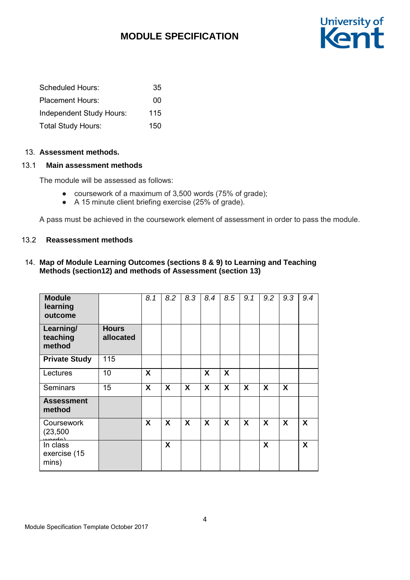

| Scheduled Hours:          | 35  |
|---------------------------|-----|
| <b>Placement Hours:</b>   | 00  |
| Independent Study Hours:  | 115 |
| <b>Total Study Hours:</b> | 150 |

#### 13. **Assessment methods.**

## 13.1 **Main assessment methods**

The module will be assessed as follows:

- coursework of a maximum of 3,500 words (75% of grade);
- A 15 minute client briefing exercise (25% of grade).

A pass must be achieved in the coursework element of assessment in order to pass the module.

### 13.2 **Reassessment methods**

## 14. **Map of Module Learning Outcomes (sections 8 & 9) to Learning and Teaching Methods (section12) and methods of Assessment (section 13)**

| <b>Module</b><br>learning<br>outcome |                           | 8.1              | 8.2                       | 8.3 | 8.4              | 8.5              | 9.1                       | 9.2 | 9.3              | 9.4 |
|--------------------------------------|---------------------------|------------------|---------------------------|-----|------------------|------------------|---------------------------|-----|------------------|-----|
| Learning/<br>teaching<br>method      | <b>Hours</b><br>allocated |                  |                           |     |                  |                  |                           |     |                  |     |
| <b>Private Study</b>                 | 115                       |                  |                           |     |                  |                  |                           |     |                  |     |
| Lectures                             | 10                        | $\boldsymbol{X}$ |                           |     | $\boldsymbol{X}$ | $\boldsymbol{X}$ |                           |     |                  |     |
| <b>Seminars</b>                      | 15                        | X                | $\boldsymbol{\mathsf{X}}$ | X   | X                | X                | $\boldsymbol{\mathsf{X}}$ | X   | $\boldsymbol{X}$ |     |
| <b>Assessment</b><br>method          |                           |                  |                           |     |                  |                  |                           |     |                  |     |
| Coursework<br>(23, 500)<br>لملصمين   |                           | X                | X                         | X   | $\boldsymbol{X}$ | $\boldsymbol{X}$ | $\boldsymbol{\mathsf{X}}$ | X   | $\boldsymbol{X}$ | X   |
| In class<br>exercise (15<br>mins)    |                           |                  | X                         |     |                  |                  |                           | X   |                  | X   |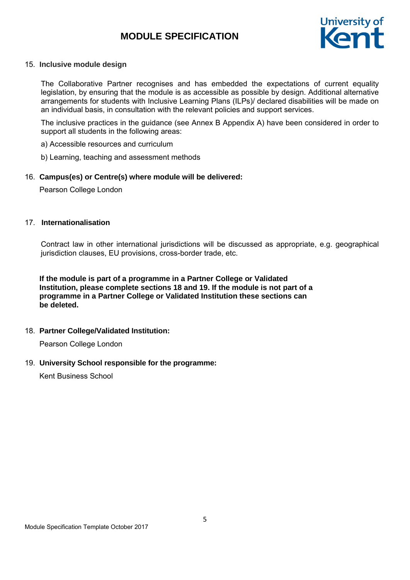

#### 15. **Inclusive module design**

The Collaborative Partner recognises and has embedded the expectations of current equality legislation, by ensuring that the module is as accessible as possible by design. Additional alternative arrangements for students with Inclusive Learning Plans (ILPs)/ declared disabilities will be made on an individual basis, in consultation with the relevant policies and support services.

The inclusive practices in the guidance (see Annex B Appendix A) have been considered in order to support all students in the following areas:

a) Accessible resources and curriculum

b) Learning, teaching and assessment methods

### 16. **Campus(es) or Centre(s) where module will be delivered:**

Pearson College London

#### 17. **Internationalisation**

Contract law in other international jurisdictions will be discussed as appropriate, e.g. geographical jurisdiction clauses, EU provisions, cross-border trade, etc.

**If the module is part of a programme in a Partner College or Validated Institution, please complete sections 18 and 19. If the module is not part of a programme in a Partner College or Validated Institution these sections can be deleted.**

#### 18. **Partner College/Validated Institution:**

Pearson College London

#### 19. **University School responsible for the programme:**

Kent Business School